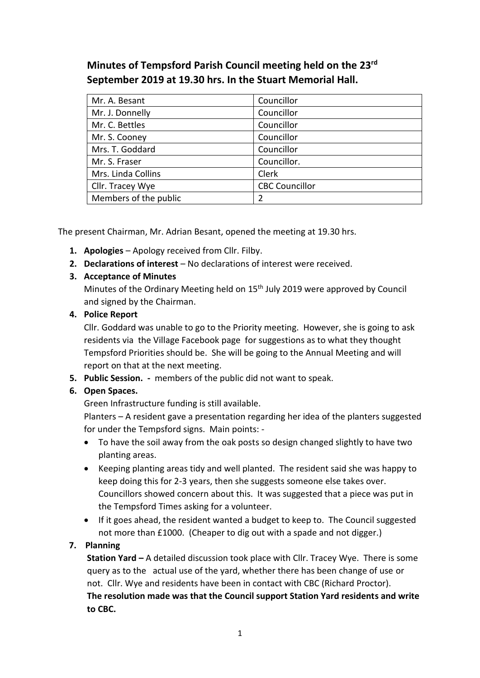# **Minutes of Tempsford Parish Council meeting held on the 23rd September 2019 at 19.30 hrs. In the Stuart Memorial Hall.**

| Mr. A. Besant         | Councillor            |
|-----------------------|-----------------------|
| Mr. J. Donnelly       | Councillor            |
| Mr. C. Bettles        | Councillor            |
| Mr. S. Cooney         | Councillor            |
| Mrs. T. Goddard       | Councillor            |
| Mr. S. Fraser         | Councillor.           |
| Mrs. Linda Collins    | Clerk                 |
| Cllr. Tracey Wye      | <b>CBC Councillor</b> |
| Members of the public |                       |

The present Chairman, Mr. Adrian Besant, opened the meeting at 19.30 hrs.

- **1. Apologies** Apology received from Cllr. Filby.
- **2. Declarations of interest** No declarations of interest were received.

## **3. Acceptance of Minutes**

Minutes of the Ordinary Meeting held on 15<sup>th</sup> July 2019 were approved by Council and signed by the Chairman.

## **4. Police Report**

Cllr. Goddard was unable to go to the Priority meeting. However, she is going to ask residents via the Village Facebook page for suggestions as to what they thought Tempsford Priorities should be. She will be going to the Annual Meeting and will report on that at the next meeting.

**5. Public Session. -** members of the public did not want to speak.

## **6. Open Spaces.**

Green Infrastructure funding is still available.

Planters – A resident gave a presentation regarding her idea of the planters suggested for under the Tempsford signs. Main points: -

- To have the soil away from the oak posts so design changed slightly to have two planting areas.
- Keeping planting areas tidy and well planted. The resident said she was happy to keep doing this for 2-3 years, then she suggests someone else takes over. Councillors showed concern about this. It was suggested that a piece was put in the Tempsford Times asking for a volunteer.
- If it goes ahead, the resident wanted a budget to keep to. The Council suggested not more than £1000. (Cheaper to dig out with a spade and not digger.)

## **7. Planning**

**Station Yard –** A detailed discussion took place with Cllr. Tracey Wye. There is some query as to the actual use of the yard, whether there has been change of use or not. Cllr. Wye and residents have been in contact with CBC (Richard Proctor). **The resolution made was that the Council support Station Yard residents and write to CBC.**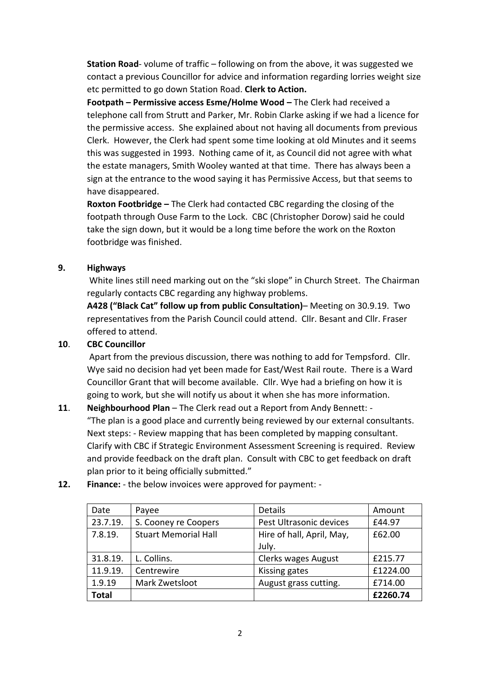**Station Road**- volume of traffic – following on from the above, it was suggested we contact a previous Councillor for advice and information regarding lorries weight size etc permitted to go down Station Road. **Clerk to Action.** 

**Footpath – Permissive access Esme/Holme Wood –** The Clerk had received a telephone call from Strutt and Parker, Mr. Robin Clarke asking if we had a licence for the permissive access. She explained about not having all documents from previous Clerk. However, the Clerk had spent some time looking at old Minutes and it seems this was suggested in 1993. Nothing came of it, as Council did not agree with what the estate managers, Smith Wooley wanted at that time. There has always been a sign at the entrance to the wood saying it has Permissive Access, but that seems to have disappeared.

**Roxton Footbridge –** The Clerk had contacted CBC regarding the closing of the footpath through Ouse Farm to the Lock. CBC (Christopher Dorow) said he could take the sign down, but it would be a long time before the work on the Roxton footbridge was finished.

#### **9. Highways**

White lines still need marking out on the "ski slope" in Church Street. The Chairman regularly contacts CBC regarding any highway problems.

**A428 ("Black Cat" follow up from public Consultation)**– Meeting on 30.9.19. Two representatives from the Parish Council could attend. Cllr. Besant and Cllr. Fraser offered to attend.

#### **10**. **CBC Councillor**

Apart from the previous discussion, there was nothing to add for Tempsford. Cllr. Wye said no decision had yet been made for East/West Rail route. There is a Ward Councillor Grant that will become available. Cllr. Wye had a briefing on how it is going to work, but she will notify us about it when she has more information.

#### **11**. **Neighbourhood Plan** – The Clerk read out a Report from Andy Bennett: -

"The plan is a good place and currently being reviewed by our external consultants. Next steps: - Review mapping that has been completed by mapping consultant. Clarify with CBC if Strategic Environment Assessment Screening is required. Review and provide feedback on the draft plan. Consult with CBC to get feedback on draft plan prior to it being officially submitted."

| Date         | Payee                       | <b>Details</b>                     | Amount   |
|--------------|-----------------------------|------------------------------------|----------|
| 23.7.19.     | S. Cooney re Coopers        | Pest Ultrasonic devices            | £44.97   |
| 7.8.19.      | <b>Stuart Memorial Hall</b> | Hire of hall, April, May,<br>July. | £62.00   |
| 31.8.19.     | L. Collins.                 | <b>Clerks wages August</b>         | £215.77  |
| 11.9.19.     | Centrewire                  | Kissing gates                      | £1224.00 |
| 1.9.19       | Mark Zwetsloot              | August grass cutting.              | £714.00  |
| <b>Total</b> |                             |                                    | £2260.74 |

**12. Finance:** - the below invoices were approved for payment: -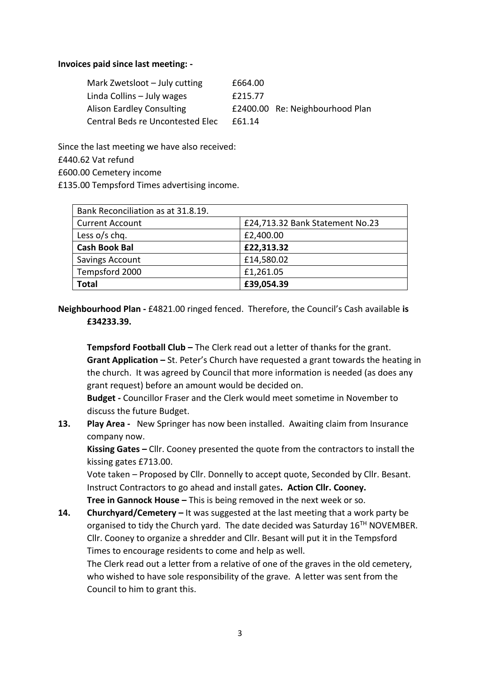#### **Invoices paid since last meeting: -**

| Mark Zwetsloot - July cutting    | £664.00 |                                 |
|----------------------------------|---------|---------------------------------|
| Linda Collins - July wages       | £215.77 |                                 |
| Alison Eardley Consulting        |         | £2400.00 Re: Neighbourhood Plan |
| Central Beds re Uncontested Elec | £61.14  |                                 |

Since the last meeting we have also received:

£440.62 Vat refund

£600.00 Cemetery income

£135.00 Tempsford Times advertising income.

| Bank Reconciliation as at 31.8.19. |                                 |
|------------------------------------|---------------------------------|
| <b>Current Account</b>             | £24,713.32 Bank Statement No.23 |
| Less $o/s$ chq.                    | £2,400.00                       |
| <b>Cash Book Bal</b>               | £22,313.32                      |
| Savings Account                    | £14,580.02                      |
| Tempsford 2000                     | £1,261.05                       |
| <b>Total</b>                       | £39,054.39                      |

**Neighbourhood Plan -** £4821.00 ringed fenced. Therefore, the Council's Cash available **is £34233.39.** 

**Tempsford Football Club –** The Clerk read out a letter of thanks for the grant. **Grant Application –** St. Peter's Church have requested a grant towards the heating in the church. It was agreed by Council that more information is needed (as does any grant request) before an amount would be decided on.

**Budget -** Councillor Fraser and the Clerk would meet sometime in November to discuss the future Budget.

**13. Play Area -** New Springer has now been installed. Awaiting claim from Insurance company now.

**Kissing Gates –** Cllr. Cooney presented the quote from the contractors to install the kissing gates £713.00.

Vote taken – Proposed by Cllr. Donnelly to accept quote, Seconded by Cllr. Besant. Instruct Contractors to go ahead and install gates**. Action Cllr. Cooney.** 

**Tree in Gannock House –** This is being removed in the next week or so.

**14. Churchyard/Cemetery –** It was suggested at the last meeting that a work party be organised to tidy the Church yard. The date decided was Saturday  $16<sup>TH</sup>$  NOVEMBER. Cllr. Cooney to organize a shredder and Cllr. Besant will put it in the Tempsford Times to encourage residents to come and help as well.

The Clerk read out a letter from a relative of one of the graves in the old cemetery, who wished to have sole responsibility of the grave. A letter was sent from the Council to him to grant this.